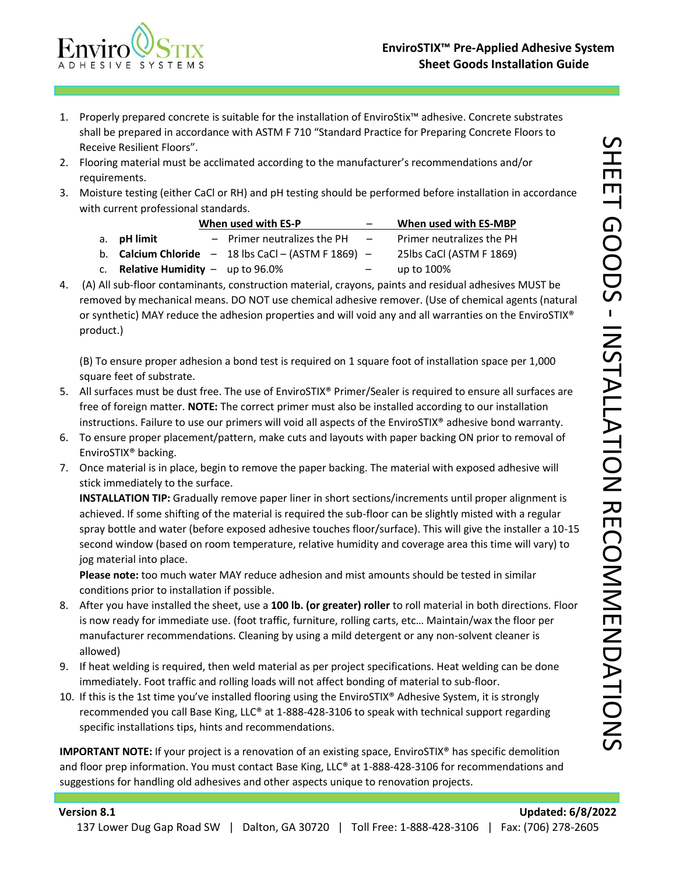

- 1. Properly prepared concrete is suitable for the installation of EnviroStix™ adhesive. Concrete substrates shall be prepared in accordance with ASTM F 710 "Standard Practice for Preparing Concrete Floors to Receive Resilient Floors".
- 2. Flooring material must be acclimated according to the manufacturer's recommendations and/or requirements.
- 3. Moisture testing (either CaCl or RH) and pH testing should be performed before installation in accordance with current professional standards.

|                                             | When used with ES-P | $\overline{\phantom{0}}$                                       | When used with ES-MBP    |                           |
|---------------------------------------------|---------------------|----------------------------------------------------------------|--------------------------|---------------------------|
| a. <b>pH limit</b>                          |                     | $-$ Primer neutralizes the PH                                  | $\sim$                   | Primer neutralizes the PH |
|                                             |                     | b. <b>Calcium Chloride</b> $- 18$ lbs CaCl $- (ASTM F 1869) -$ |                          | 25lbs CaCl (ASTM F 1869)  |
| c. <b>Relative Humidity</b> $-$ up to 96.0% |                     |                                                                | $\overline{\phantom{0}}$ | up to 100%                |

4. (A) All sub-floor contaminants, construction material, crayons, paints and residual adhesives MUST be removed by mechanical means. DO NOT use chemical adhesive remover. (Use of chemical agents (natural or synthetic) MAY reduce the adhesion properties and will void any and all warranties on the EnviroSTIX® product.)

(B) To ensure proper adhesion a bond test is required on 1 square foot of installation space per 1,000 square feet of substrate.

- 5. All surfaces must be dust free. The use of EnviroSTIX® Primer/Sealer is required to ensure all surfaces are free of foreign matter. **NOTE:** The correct primer must also be installed according to our installation instructions. Failure to use our primers will void all aspects of the EnviroSTIX® adhesive bond warranty.
- 6. To ensure proper placement/pattern, make cuts and layouts with paper backing ON prior to removal of EnviroSTIX® backing.
- 7. Once material is in place, begin to remove the paper backing. The material with exposed adhesive will stick immediately to the surface.

**INSTALLATION TIP:** Gradually remove paper liner in short sections/increments until proper alignment is achieved. If some shifting of the material is required the sub-floor can be slightly misted with a regular spray bottle and water (before exposed adhesive touches floor/surface). This will give the installer a 10-15 second window (based on room temperature, relative humidity and coverage area this time will vary) to jog material into place.

**Please note:** too much water MAY reduce adhesion and mist amounts should be tested in similar conditions prior to installation if possible.

- 8. After you have installed the sheet, use a **100 lb. (or greater) roller** to roll material in both directions. Floor is now ready for immediate use. (foot traffic, furniture, rolling carts, etc… Maintain/wax the floor per manufacturer recommendations. Cleaning by using a mild detergent or any non-solvent cleaner is allowed)
- 9. If heat welding is required, then weld material as per project specifications. Heat welding can be done immediately. Foot traffic and rolling loads will not affect bonding of material to sub-floor.
- 10. If this is the 1st time you've installed flooring using the EnviroSTIX® Adhesive System, it is strongly recommended you call Base King, LLC® at 1-888-428-3106 to speak with technical support regarding specific installations tips, hints and recommendations.

**IMPORTANT NOTE:** If your project is a renovation of an existing space, EnviroSTIX® has specific demolition and floor prep information. You must contact Base King, LLC® at 1-888-428-3106 for recommendations and suggestions for handling old adhesives and other aspects unique to renovation projects.